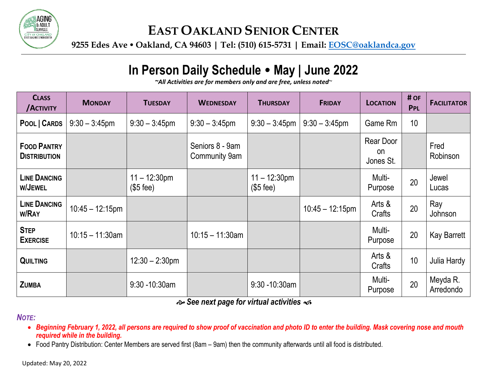

### **EAST OAKLAND SENIOR CENTER**

**9255 Edes Ave Oakland, CA 94603 | Tel: (510) 615-5731 | Email: EOSC@oaklandca.gov**

# **In Person Daily Schedule May | June 2022**

*~All Activities are for members only and are free, unless noted*~

| <b>CLASS</b><br><b>ACTIVITY</b>           | <b>MONDAY</b>      | <b>TUESDAY</b>                               | <b>WEDNESDAY</b>                        | <b>THURSDAY</b>                              | <b>FRIDAY</b>      | <b>LOCATION</b>              | # OF<br>PPL     | <b>FACILITATOR</b>    |
|-------------------------------------------|--------------------|----------------------------------------------|-----------------------------------------|----------------------------------------------|--------------------|------------------------------|-----------------|-----------------------|
| POOL   CARDS                              | $9:30 - 3:45$ pm   | $9:30 - 3:45$ pm                             | $9:30 - 3:45$ pm                        | $9:30 - 3:45$ pm                             | $9:30 - 3:45$ pm   | Game Rm                      | 10 <sup>°</sup> |                       |
| <b>FOOD PANTRY</b><br><b>DISTRIBUTION</b> |                    |                                              | Seniors 8 - 9am<br><b>Community 9am</b> |                                              |                    | Rear Door<br>on<br>Jones St. |                 | Fred<br>Robinson      |
| <b>LINE DANCING</b><br>W/JEWEL            |                    | $11 - 12:30 \text{pm}$<br>$($5 \text{ fee})$ |                                         | $11 - 12:30 \text{pm}$<br>$($5 \text{ fee})$ |                    | Multi-<br>Purpose            | 20              | Jewel<br>Lucas        |
| <b>LINE DANCING</b><br><b>W/RAY</b>       | $10:45 - 12:15$ pm |                                              |                                         |                                              | $10:45 - 12:15$ pm | Arts &<br>Crafts             | 20              | Ray<br>Johnson        |
| <b>STEP</b><br><b>EXERCISE</b>            | $10:15 - 11:30$ am |                                              | $10:15 - 11:30$ am                      |                                              |                    | Multi-<br>Purpose            | 20              | <b>Kay Barrett</b>    |
| <b>QUILTING</b>                           |                    | $12:30 - 2:30$ pm                            |                                         |                                              |                    | Arts &<br>Crafts             | 10              | Julia Hardy           |
| <b>ZUMBA</b>                              |                    | $9:30 - 10:30$ am                            |                                         | $9:30 - 10:30$ am                            |                    | Multi-<br>Purpose            | 20              | Meyda R.<br>Arredondo |

*See next page for virtual activities*

### *NOTE:*

- *Beginning February 1, 2022, all persons are required to show proof of vaccination and photo ID to enter the building. Mask covering nose and mouth required while in the building.*
- Food Pantry Distribution: Center Members are served first (8am 9am) then the community afterwards until all food is distributed.